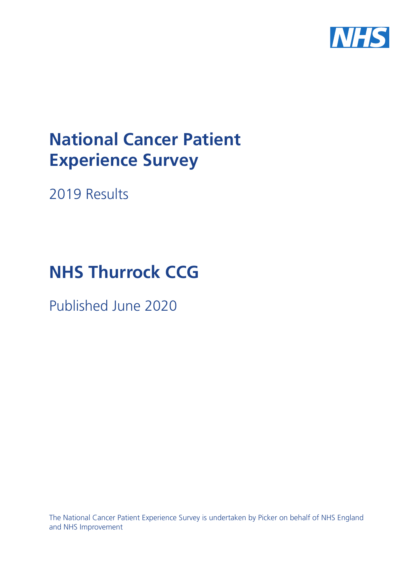

# **National Cancer Patient Experience Survey**

2019 Results

# **NHS Thurrock CCG**

Published June 2020

The National Cancer Patient Experience Survey is undertaken by Picker on behalf of NHS England and NHS Improvement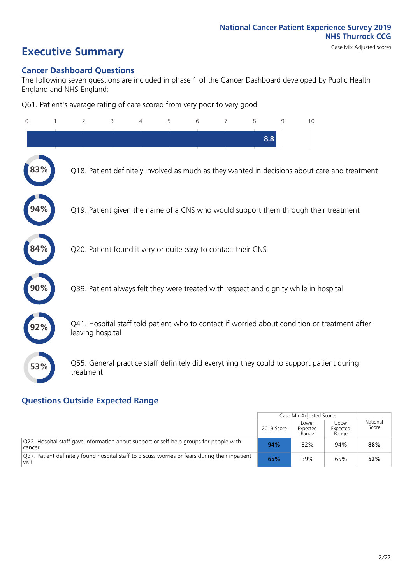# **Executive Summary** Case Mix Adjusted scores

#### **Cancer Dashboard Questions**

The following seven questions are included in phase 1 of the Cancer Dashboard developed by Public Health England and NHS England:

Q61. Patient's average rating of care scored from very poor to very good

| 0   | 1 | $\overline{2}$                                                | 3 | 5 | 6 | $\overline{7}$ | 8   | 9 | 10                                                                                            |
|-----|---|---------------------------------------------------------------|---|---|---|----------------|-----|---|-----------------------------------------------------------------------------------------------|
|     |   |                                                               |   |   |   |                | 8.8 |   |                                                                                               |
| 83% |   |                                                               |   |   |   |                |     |   | Q18. Patient definitely involved as much as they wanted in decisions about care and treatment |
|     |   |                                                               |   |   |   |                |     |   | Q19. Patient given the name of a CNS who would support them through their treatment           |
| 84% |   | Q20. Patient found it very or quite easy to contact their CNS |   |   |   |                |     |   |                                                                                               |
|     |   |                                                               |   |   |   |                |     |   | Q39. Patient always felt they were treated with respect and dignity while in hospital         |
|     |   | leaving hospital                                              |   |   |   |                |     |   | Q41. Hospital staff told patient who to contact if worried about condition or treatment after |
| 53% |   | treatment                                                     |   |   |   |                |     |   | Q55. General practice staff definitely did everything they could to support patient during    |

### **Questions Outside Expected Range**

|                                                                                                            |            | Case Mix Adjusted Scores   |                            |                   |
|------------------------------------------------------------------------------------------------------------|------------|----------------------------|----------------------------|-------------------|
|                                                                                                            | 2019 Score | Lower<br>Expected<br>Range | Upper<br>Expected<br>Range | National<br>Score |
| $\sqrt{Q22}$ . Hospital staff gave information about support or self-help groups for people with<br>cancer | 94%        | 82%                        | 94%                        | 88%               |
| 037. Patient definitely found hospital staff to discuss worries or fears during their inpatient<br>visit   | 65%        | 39%                        | 65%                        | 52%               |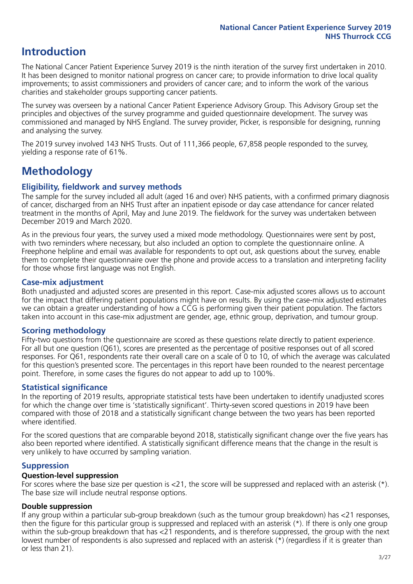# **Introduction**

The National Cancer Patient Experience Survey 2019 is the ninth iteration of the survey first undertaken in 2010. It has been designed to monitor national progress on cancer care; to provide information to drive local quality improvements; to assist commissioners and providers of cancer care; and to inform the work of the various charities and stakeholder groups supporting cancer patients.

The survey was overseen by a national Cancer Patient Experience Advisory Group. This Advisory Group set the principles and objectives of the survey programme and guided questionnaire development. The survey was commissioned and managed by NHS England. The survey provider, Picker, is responsible for designing, running and analysing the survey.

The 2019 survey involved 143 NHS Trusts. Out of 111,366 people, 67,858 people responded to the survey, yielding a response rate of 61%.

# **Methodology**

#### **Eligibility, eldwork and survey methods**

The sample for the survey included all adult (aged 16 and over) NHS patients, with a confirmed primary diagnosis of cancer, discharged from an NHS Trust after an inpatient episode or day case attendance for cancer related treatment in the months of April, May and June 2019. The fieldwork for the survey was undertaken between December 2019 and March 2020.

As in the previous four years, the survey used a mixed mode methodology. Questionnaires were sent by post, with two reminders where necessary, but also included an option to complete the questionnaire online. A Freephone helpline and email was available for respondents to opt out, ask questions about the survey, enable them to complete their questionnaire over the phone and provide access to a translation and interpreting facility for those whose first language was not English.

#### **Case-mix adjustment**

Both unadjusted and adjusted scores are presented in this report. Case-mix adjusted scores allows us to account for the impact that differing patient populations might have on results. By using the case-mix adjusted estimates we can obtain a greater understanding of how a CCG is performing given their patient population. The factors taken into account in this case-mix adjustment are gender, age, ethnic group, deprivation, and tumour group.

#### **Scoring methodology**

Fifty-two questions from the questionnaire are scored as these questions relate directly to patient experience. For all but one question (Q61), scores are presented as the percentage of positive responses out of all scored responses. For Q61, respondents rate their overall care on a scale of 0 to 10, of which the average was calculated for this question's presented score. The percentages in this report have been rounded to the nearest percentage point. Therefore, in some cases the figures do not appear to add up to 100%.

#### **Statistical significance**

In the reporting of 2019 results, appropriate statistical tests have been undertaken to identify unadjusted scores for which the change over time is 'statistically significant'. Thirty-seven scored questions in 2019 have been compared with those of 2018 and a statistically significant change between the two years has been reported where identified.

For the scored questions that are comparable beyond 2018, statistically significant change over the five years has also been reported where identified. A statistically significant difference means that the change in the result is very unlikely to have occurred by sampling variation.

#### **Suppression**

#### **Question-level suppression**

For scores where the base size per question is  $<$ 21, the score will be suppressed and replaced with an asterisk (\*). The base size will include neutral response options.

#### **Double suppression**

If any group within a particular sub-group breakdown (such as the tumour group breakdown) has <21 responses, then the figure for this particular group is suppressed and replaced with an asterisk (\*). If there is only one group within the sub-group breakdown that has <21 respondents, and is therefore suppressed, the group with the next lowest number of respondents is also supressed and replaced with an asterisk (\*) (regardless if it is greater than or less than 21).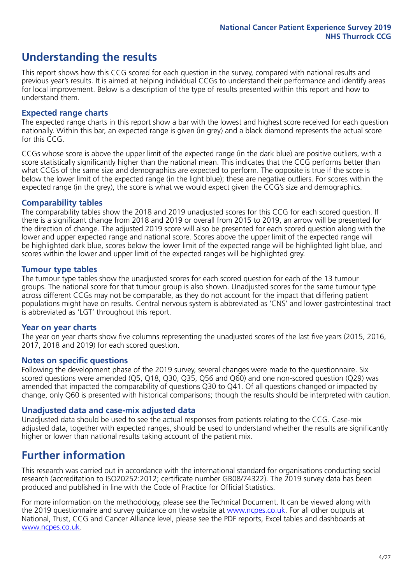# **Understanding the results**

This report shows how this CCG scored for each question in the survey, compared with national results and previous year's results. It is aimed at helping individual CCGs to understand their performance and identify areas for local improvement. Below is a description of the type of results presented within this report and how to understand them.

#### **Expected range charts**

The expected range charts in this report show a bar with the lowest and highest score received for each question nationally. Within this bar, an expected range is given (in grey) and a black diamond represents the actual score for this CCG.

CCGs whose score is above the upper limit of the expected range (in the dark blue) are positive outliers, with a score statistically significantly higher than the national mean. This indicates that the CCG performs better than what CCGs of the same size and demographics are expected to perform. The opposite is true if the score is below the lower limit of the expected range (in the light blue); these are negative outliers. For scores within the expected range (in the grey), the score is what we would expect given the CCG's size and demographics.

#### **Comparability tables**

The comparability tables show the 2018 and 2019 unadjusted scores for this CCG for each scored question. If there is a significant change from 2018 and 2019 or overall from 2015 to 2019, an arrow will be presented for the direction of change. The adjusted 2019 score will also be presented for each scored question along with the lower and upper expected range and national score. Scores above the upper limit of the expected range will be highlighted dark blue, scores below the lower limit of the expected range will be highlighted light blue, and scores within the lower and upper limit of the expected ranges will be highlighted grey.

#### **Tumour type tables**

The tumour type tables show the unadjusted scores for each scored question for each of the 13 tumour groups. The national score for that tumour group is also shown. Unadjusted scores for the same tumour type across different CCGs may not be comparable, as they do not account for the impact that differing patient populations might have on results. Central nervous system is abbreviated as 'CNS' and lower gastrointestinal tract is abbreviated as 'LGT' throughout this report.

#### **Year on year charts**

The year on year charts show five columns representing the unadjusted scores of the last five years (2015, 2016, 2017, 2018 and 2019) for each scored question.

#### **Notes on specific questions**

Following the development phase of the 2019 survey, several changes were made to the questionnaire. Six scored questions were amended (Q5, Q18, Q30, Q35, Q56 and Q60) and one non-scored question (Q29) was amended that impacted the comparability of questions Q30 to Q41. Of all questions changed or impacted by change, only Q60 is presented with historical comparisons; though the results should be interpreted with caution.

#### **Unadjusted data and case-mix adjusted data**

Unadjusted data should be used to see the actual responses from patients relating to the CCG. Case-mix adjusted data, together with expected ranges, should be used to understand whether the results are significantly higher or lower than national results taking account of the patient mix.

### **Further information**

This research was carried out in accordance with the international standard for organisations conducting social research (accreditation to ISO20252:2012; certificate number GB08/74322). The 2019 survey data has been produced and published in line with the Code of Practice for Official Statistics.

For more information on the methodology, please see the Technical Document. It can be viewed along with the 2019 questionnaire and survey quidance on the website at [www.ncpes.co.uk](https://www.ncpes.co.uk/supporting-documents). For all other outputs at National, Trust, CCG and Cancer Alliance level, please see the PDF reports, Excel tables and dashboards at [www.ncpes.co.uk.](https://www.ncpes.co.uk/current-results)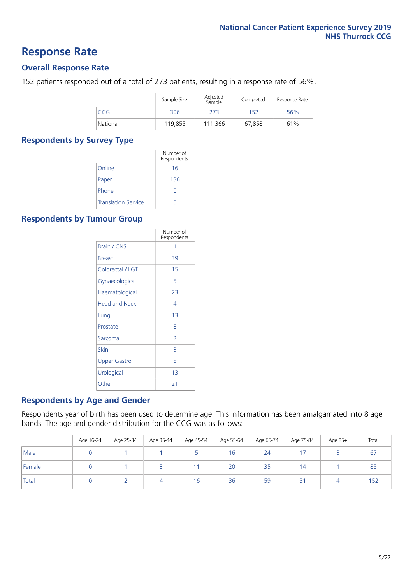### **Response Rate**

#### **Overall Response Rate**

152 patients responded out of a total of 273 patients, resulting in a response rate of 56%.

|          | Sample Size | Adjusted<br>Sample | Completed | Response Rate |
|----------|-------------|--------------------|-----------|---------------|
| CCG      | 306         | 273                | 152       | 56%           |
| National | 119,855     | 111.366            | 67,858    | 61%           |

#### **Respondents by Survey Type**

|                            | Number of<br>Respondents |
|----------------------------|--------------------------|
| Online                     | 16                       |
| Paper                      | 136                      |
| Phone                      |                          |
| <b>Translation Service</b> |                          |

#### **Respondents by Tumour Group**

|                      | Number of<br>Respondents |
|----------------------|--------------------------|
| <b>Brain / CNS</b>   | 1                        |
| <b>Breast</b>        | 39                       |
| Colorectal / LGT     | 15                       |
| Gynaecological       | 5                        |
| Haematological       | 23                       |
| <b>Head and Neck</b> | 4                        |
| Lung                 | 13                       |
| Prostate             | 8                        |
| Sarcoma              | $\overline{2}$           |
| Skin                 | 3                        |
| <b>Upper Gastro</b>  | 5                        |
| Urological           | 13                       |
| Other                | 21                       |

#### **Respondents by Age and Gender**

Respondents year of birth has been used to determine age. This information has been amalgamated into 8 age bands. The age and gender distribution for the CCG was as follows:

|        | Age 16-24 | Age 25-34 | Age 35-44 | Age 45-54 | Age 55-64 | Age 65-74 | Age 75-84 | Age 85+ | Total |
|--------|-----------|-----------|-----------|-----------|-----------|-----------|-----------|---------|-------|
| Male   |           |           |           |           | 16        | 24        |           |         | 67    |
| Female |           |           |           |           | 20        | 35        | 14        |         | 85    |
| Total  |           |           | 4         | 16        | 36        | 59        | 3         |         | 152   |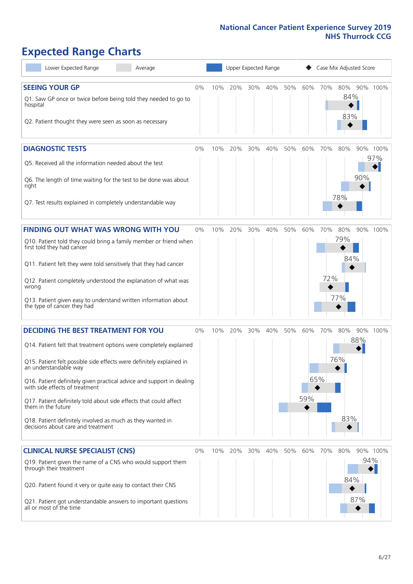# **Expected Range Charts**

| Lower Expected Range<br>Average                                                                                                                                 |       |     | Upper Expected Range |     |         |     |     |     | Case Mix Adjusted Score |                 |
|-----------------------------------------------------------------------------------------------------------------------------------------------------------------|-------|-----|----------------------|-----|---------|-----|-----|-----|-------------------------|-----------------|
| <b>SEEING YOUR GP</b><br>Q1. Saw GP once or twice before being told they needed to go to<br>hospital<br>Q2. Patient thought they were seen as soon as necessary | 0%    | 10% | 20%                  | 30% | 40%     | 50% | 60% | 70% | 80%<br>84%<br>83%       | 90% 100%        |
| <b>DIAGNOSTIC TESTS</b><br>Q5. Received all the information needed about the test                                                                               | $0\%$ | 10% | 20%                  |     | 30% 40% | 50% | 60% | 70% | 80%                     | 90% 100%<br>97% |
| Q6. The length of time waiting for the test to be done was about<br>right<br>Q7. Test results explained in completely understandable way                        |       |     |                      |     |         |     |     |     | 90%<br>78%              |                 |
|                                                                                                                                                                 |       |     |                      |     |         |     |     |     |                         |                 |
| <b>FINDING OUT WHAT WAS WRONG WITH YOU</b><br>Q10. Patient told they could bring a family member or friend when<br>first told they had cancer                   | 0%    | 10% | 20%                  | 30% | 40%     | 50% | 60% | 70% | 80%<br>79%              | 90% 100%        |
| Q11. Patient felt they were told sensitively that they had cancer                                                                                               |       |     |                      |     |         |     |     |     | 84%                     |                 |
| Q12. Patient completely understood the explanation of what was<br>wrong                                                                                         |       |     |                      |     |         |     |     | 72% | 77%                     |                 |
| Q13. Patient given easy to understand written information about<br>the type of cancer they had                                                                  |       |     |                      |     |         |     |     |     |                         |                 |
| <b>DECIDING THE BEST TREATMENT FOR YOU</b>                                                                                                                      | 0%    | 10% | 20%                  | 30% | 40%     | 50% | 60% | 70% | 80%                     | 90% 100%        |
| Q14. Patient felt that treatment options were completely explained                                                                                              |       |     |                      |     |         |     |     |     | 88%                     |                 |
| Q15. Patient felt possible side effects were definitely explained in<br>an understandable way                                                                   |       |     |                      |     |         |     |     |     | 76%                     |                 |
| Q16. Patient definitely given practical advice and support in dealing<br>with side effects of treatment                                                         |       |     |                      |     |         |     |     | 65% |                         |                 |
| Q17. Patient definitely told about side effects that could affect<br>them in the future                                                                         |       |     |                      |     |         |     | 59% |     |                         |                 |
| Q18. Patient definitely involved as much as they wanted in<br>decisions about care and treatment                                                                |       |     |                      |     |         |     |     |     | 83%                     |                 |
| <b>CLINICAL NURSE SPECIALIST (CNS)</b>                                                                                                                          | 0%    | 10% | 20%                  | 30% | 40%     | 50% | 60% | 70% | 80%                     | 90% 100%        |
| Q19. Patient given the name of a CNS who would support them<br>through their treatment                                                                          |       |     |                      |     |         |     |     |     |                         | 94%             |
| Q20. Patient found it very or quite easy to contact their CNS                                                                                                   |       |     |                      |     |         |     |     |     | 84%                     |                 |
| Q21. Patient got understandable answers to important questions<br>all or most of the time                                                                       |       |     |                      |     |         |     |     |     | 87%                     |                 |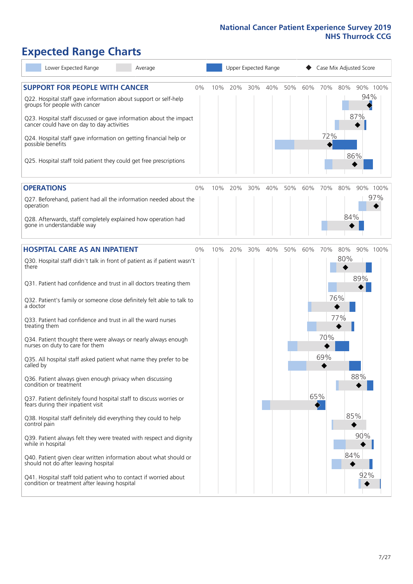# **Expected Range Charts**

| Lower Expected Range<br>Average                                                                                                           |    |     |     |     | Upper Expected Range |     |     |     |     | Case Mix Adjusted Score |     |
|-------------------------------------------------------------------------------------------------------------------------------------------|----|-----|-----|-----|----------------------|-----|-----|-----|-----|-------------------------|-----|
| <b>SUPPORT FOR PEOPLE WITH CANCER</b><br>Q22. Hospital staff gave information about support or self-help<br>groups for people with cancer | 0% | 10% | 20% | 30% | 40%                  | 50% | 60% | 70% | 80% | 90% 100%<br>94%         |     |
| Q23. Hospital staff discussed or gave information about the impact<br>cancer could have on day to day activities                          |    |     |     |     |                      |     |     |     |     | 87%                     |     |
| Q24. Hospital staff gave information on getting financial help or<br>possible benefits                                                    |    |     |     |     |                      |     |     | 72% |     |                         |     |
| Q25. Hospital staff told patient they could get free prescriptions                                                                        |    |     |     |     |                      |     |     |     |     | 86%                     |     |
| <b>OPERATIONS</b>                                                                                                                         | 0% | 10% | 20% | 30% | 40%                  | 50% | 60% | 70% | 80% | 90% 100%                |     |
| Q27. Beforehand, patient had all the information needed about the<br>operation                                                            |    |     |     |     |                      |     |     |     |     |                         | 97% |
| Q28. Afterwards, staff completely explained how operation had<br>gone in understandable way                                               |    |     |     |     |                      |     |     |     | 84% |                         |     |
| <b>HOSPITAL CARE AS AN INPATIENT</b>                                                                                                      | 0% | 10% | 20% | 30% | 40%                  | 50% | 60% | 70% | 80% | 90% 100%                |     |
| Q30. Hospital staff didn't talk in front of patient as if patient wasn't<br>there                                                         |    |     |     |     |                      |     |     |     | 80% |                         |     |
| Q31. Patient had confidence and trust in all doctors treating them                                                                        |    |     |     |     |                      |     |     |     |     | 89%                     |     |
| Q32. Patient's family or someone close definitely felt able to talk to<br>a doctor                                                        |    |     |     |     |                      |     |     |     | 76% |                         |     |
| Q33. Patient had confidence and trust in all the ward nurses<br>treating them                                                             |    |     |     |     |                      |     |     |     | 77% |                         |     |
| Q34. Patient thought there were always or nearly always enough<br>nurses on duty to care for them                                         |    |     |     |     |                      |     |     | 70% |     |                         |     |
| Q35. All hospital staff asked patient what name they prefer to be<br>called by                                                            |    |     |     |     |                      |     |     | 69% |     |                         |     |
| Q36. Patient always given enough privacy when discussing<br>condition or treatment                                                        |    |     |     |     |                      |     |     |     |     | 88%                     |     |
| Q37. Patient definitely found hospital staff to discuss worries or<br>fears during their inpatient visit                                  |    |     |     |     |                      |     | 65% |     |     |                         |     |
| Q38. Hospital staff definitely did everything they could to help<br>control pain                                                          |    |     |     |     |                      |     |     |     |     | 85%                     |     |
| Q39. Patient always felt they were treated with respect and dignity<br>while in hospital                                                  |    |     |     |     |                      |     |     |     |     | 90%                     |     |
| Q40. Patient given clear written information about what should or<br>should not do after leaving hospital                                 |    |     |     |     |                      |     |     |     | 84% |                         |     |
| Q41. Hospital staff told patient who to contact if worried about<br>condition or treatment after leaving hospital                         |    |     |     |     |                      |     |     |     |     | 92%                     |     |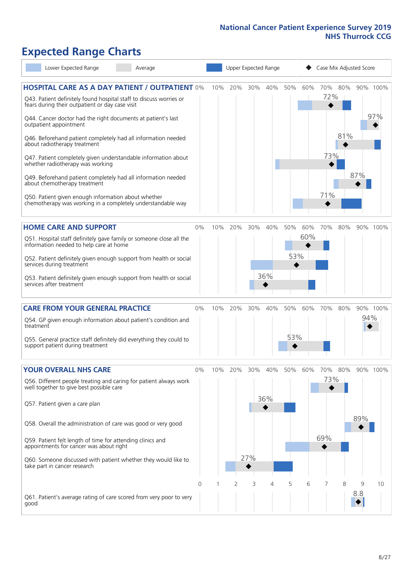# **Expected Range Charts**

| Lower Expected Range<br>Average                                                                                                                                                                                                                                                                                                                                                                                                                                                                                                                                                                                                                                                                        |       |     |     | Upper Expected Range |            |            |            | Case Mix Adjusted Score  |            |          |                 |
|--------------------------------------------------------------------------------------------------------------------------------------------------------------------------------------------------------------------------------------------------------------------------------------------------------------------------------------------------------------------------------------------------------------------------------------------------------------------------------------------------------------------------------------------------------------------------------------------------------------------------------------------------------------------------------------------------------|-------|-----|-----|----------------------|------------|------------|------------|--------------------------|------------|----------|-----------------|
| <b>HOSPITAL CARE AS A DAY PATIENT / OUTPATIENT 0%</b><br>Q43. Patient definitely found hospital staff to discuss worries or<br>fears during their outpatient or day case visit<br>Q44. Cancer doctor had the right documents at patient's last<br>outpatient appointment<br>Q46. Beforehand patient completely had all information needed<br>about radiotherapy treatment<br>Q47. Patient completely given understandable information about<br>whether radiotherapy was working<br>Q49. Beforehand patient completely had all information needed<br>about chemotherapy treatment<br>Q50. Patient given enough information about whether<br>chemotherapy was working in a completely understandable way |       | 10% | 20% | 30%                  | 40%        | 50%        | 60%        | 70%<br>72%<br>73%<br>71% | 80%<br>81% | 87%      | 90% 100%<br>97% |
| <b>HOME CARE AND SUPPORT</b><br>Q51. Hospital staff definitely gave family or someone close all the<br>information needed to help care at home<br>Q52. Patient definitely given enough support from health or social<br>services during treatment<br>Q53. Patient definitely given enough support from health or social<br>services after treatment                                                                                                                                                                                                                                                                                                                                                    | 0%    | 10% | 20% | 30%                  | 40%<br>36% | 50%<br>53% | 60%<br>60% | 70%                      | 80%        |          | 90% 100%        |
| <b>CARE FROM YOUR GENERAL PRACTICE</b><br>Q54. GP given enough information about patient's condition and<br>treatment<br>Q55. General practice staff definitely did everything they could to<br>support patient during treatment                                                                                                                                                                                                                                                                                                                                                                                                                                                                       | 0%    | 10% | 20% | 30%                  | 40%        | 50%<br>53% | 60%        | 70%                      | 80%        | 94%      | 90% 100%        |
| <b>YOUR OVERALL NHS CARE</b><br>Q56. Different people treating and caring for patient always work<br>well together to give best possible care<br>Q57. Patient given a care plan<br>Q58. Overall the administration of care was good or very good<br>Q59. Patient felt length of time for attending clinics and<br>appointments for cancer was about right<br>Q60. Someone discussed with patient whether they would like to<br>take part in cancer research                                                                                                                                                                                                                                            | $0\%$ | 10% | 20% | 30%<br>27%           | 40%<br>36% | 50%        | 60%        | 70%<br>73%<br>69%        | 80%        | 89%      | 90% 100%        |
| Q61. Patient's average rating of care scored from very poor to very<br>good                                                                                                                                                                                                                                                                                                                                                                                                                                                                                                                                                                                                                            | 0     |     | 2   | 3                    | 4          | 5          | 6          |                          | 8          | 9<br>8.8 | 10              |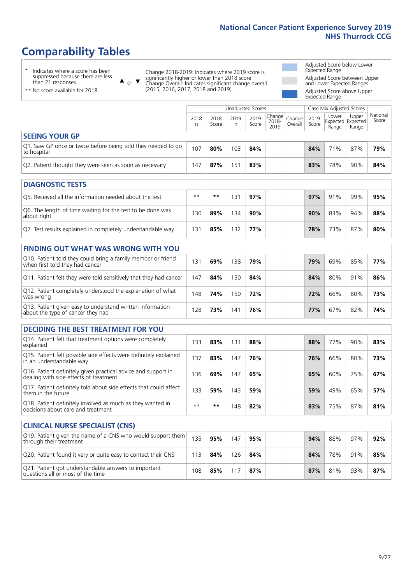# **Comparability Tables**

\* Indicates where a score has been suppressed because there are less than 21 responses.

\*\* No score available for 2018.

 $\triangle$  or  $\nabla$ 

Change 2018-2019: Indicates where 2019 score is significantly higher or lower than 2018 score Change Overall: Indicates significant change overall (2015, 2016, 2017, 2018 and 2019).

Adjusted Score below Lower Expected Range Adjusted Score between Upper and Lower Expected Ranges Adjusted Score above Upper

Expected Range

|                                                                             |           |               | Unadjusted Scores |               |                                             |         |               | Case Mix Adjusted Scores |                                     |                   |
|-----------------------------------------------------------------------------|-----------|---------------|-------------------|---------------|---------------------------------------------|---------|---------------|--------------------------|-------------------------------------|-------------------|
|                                                                             | 2018<br>n | 2018<br>Score | 2019<br>n         | 2019<br>Score | $\sqrt{Change} Change $<br>$2018 -$<br>2019 | Overall | 2019<br>Score | Lower<br>Range           | Upper<br>Expected Expected<br>Range | National<br>Score |
| <b>SEEING YOUR GP</b>                                                       |           |               |                   |               |                                             |         |               |                          |                                     |                   |
| Q1. Saw GP once or twice before being told they needed to go<br>to hospital | 107       | 80%           | 103               | 84%           |                                             |         | 84%           | 71%                      | 87%                                 | 79%               |
| Q2. Patient thought they were seen as soon as necessary                     | 147       | 87%           | 151               | 83%           |                                             |         | 83%           | 78%                      | 90%                                 | 84%               |
| <b>DIAGNOSTIC TESTS</b>                                                     |           |               |                   |               |                                             |         |               |                          |                                     |                   |

| O5. Received all the information needed about the test                    | $**$ | **  | '3  | 97% |  | 97% | 91% | 99% | 95% |
|---------------------------------------------------------------------------|------|-----|-----|-----|--|-----|-----|-----|-----|
| Q6. The length of time waiting for the test to be done was<br>about right | l 30 | 89% | 134 | 90% |  | 90% | 83% | 94% | 88% |
| Q7. Test results explained in completely understandable way               | 3.   | 85% | 132 | 77% |  | 78% | 73% | 87% | 80% |

| <b>FINDING OUT WHAT WAS WRONG WITH YOU</b>                                                      |     |     |                        |     |     |     |     |     |
|-------------------------------------------------------------------------------------------------|-----|-----|------------------------|-----|-----|-----|-----|-----|
| Q10. Patient told they could bring a family member or friend<br>when first told they had cancer | 131 | 69% | 38                     | 79% | 79% | 69% | 85% | 77% |
| Q11. Patient felt they were told sensitively that they had cancer                               | 147 | 84% | 50                     | 84% | 84% | 80% | 91% | 86% |
| Q12. Patient completely understood the explanation of what<br>was wrong                         | 148 | 74% | 50                     | 72% | 72% | 66% | 80% | 73% |
| Q13. Patient given easy to understand written information<br>about the type of cancer they had  | 128 | 73% | $\mathcal{A}^{\prime}$ | 76% | 77% | 67% | 82% | 74% |

| <b>DECIDING THE BEST TREATMENT FOR YOU</b>                                                              |      |      |     |     |  |     |     |     |     |
|---------------------------------------------------------------------------------------------------------|------|------|-----|-----|--|-----|-----|-----|-----|
| Q14. Patient felt that treatment options were completely<br>explained                                   | 133  | 83%  | 131 | 88% |  | 88% | 77% | 90% | 83% |
| Q15. Patient felt possible side effects were definitely explained<br>in an understandable way           | 137  | 83%  | 147 | 76% |  | 76% | 66% | 80% | 73% |
| Q16. Patient definitely given practical advice and support in<br>dealing with side effects of treatment | 136  | 69%  | 147 | 65% |  | 65% | 60% | 75% | 67% |
| Q17. Patient definitely told about side effects that could affect<br>them in the future                 | 133  | 59%  | 143 | 59% |  | 59% | 49% | 65% | 57% |
| Q18. Patient definitely involved as much as they wanted in<br>decisions about care and treatment        | $**$ | $**$ | 148 | 82% |  | 83% | 75% | 87% | 81% |

| <b>CLINICAL NURSE SPECIALIST (CNS)</b>                                                    |     |     |     |     |     |     |     |     |
|-------------------------------------------------------------------------------------------|-----|-----|-----|-----|-----|-----|-----|-----|
| Q19. Patient given the name of a CNS who would support them<br>through their treatment    | 135 | 95% | 147 | 95% | 94% | 88% | 97% | 92% |
| Q20. Patient found it very or quite easy to contact their CNS                             | 113 | 84% | 126 | 84% | 84% | 78% | 91% | 85% |
| Q21. Patient got understandable answers to important<br>questions all or most of the time | 108 | 85% | 117 | 87% | 87% | 81% | 93% | 87% |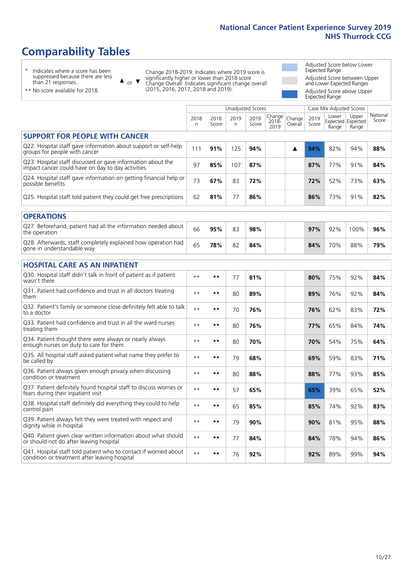# **Comparability Tables**

\* Indicates where a score has been suppressed because there are less than 21 responses.

\*\* No score available for 2018.

 $\triangle$  or  $\nabla$ 

Change 2018-2019: Indicates where 2019 score is significantly higher or lower than 2018 score Change Overall: Indicates significant change overall (2015, 2016, 2017, 2018 and 2019).

Adjusted Score below Lower Expected Range Adjusted Score between Upper and Lower Expected Ranges Adjusted Score above Upper Expected Range

|                                                                                                                   |              |               | Unadjusted Scores |               |                         |                   |               | Case Mix Adjusted Scores            |                |                   |
|-------------------------------------------------------------------------------------------------------------------|--------------|---------------|-------------------|---------------|-------------------------|-------------------|---------------|-------------------------------------|----------------|-------------------|
|                                                                                                                   | 2018<br>n    | 2018<br>Score | 2019<br>n.        | 2019<br>Score | Change<br>2018-<br>2019 | Change<br>Overall | 2019<br>Score | Lower<br>Expected Expected<br>Range | Upper<br>Range | National<br>Score |
| <b>SUPPORT FOR PEOPLE WITH CANCER</b>                                                                             |              |               |                   |               |                         |                   |               |                                     |                |                   |
| Q22. Hospital staff gave information about support or self-help<br>groups for people with cancer                  | 111          | 91%           | 125               | 94%           |                         | ▲                 | 94%           | 82%                                 | 94%            | 88%               |
| Q23. Hospital staff discussed or gave information about the<br>impact cancer could have on day to day activities  | 97           | 85%           | 107               | 87%           |                         |                   | 87%           | 77%                                 | 91%            | 84%               |
| Q24. Hospital staff gave information on getting financial help or<br>possible benefits                            | 73           | 67%           | 83                | 72%           |                         |                   | 72%           | 52%                                 | 73%            | 63%               |
| Q25. Hospital staff told patient they could get free prescriptions                                                | 62           | 81%           | 77                | 86%           |                         |                   | 86%           | 73%                                 | 91%            | 82%               |
| <b>OPERATIONS</b>                                                                                                 |              |               |                   |               |                         |                   |               |                                     |                |                   |
| Q27. Beforehand, patient had all the information needed about<br>the operation                                    | 66           | 95%           | 83                | 98%           |                         |                   | 97%           | 92%                                 | 100%           | 96%               |
| Q28. Afterwards, staff completely explained how operation had<br>gone in understandable way                       | 65           | 78%           | 82                | 84%           |                         |                   | 84%           | 70%                                 | 88%            | 79%               |
| <b>HOSPITAL CARE AS AN INPATIENT</b>                                                                              |              |               |                   |               |                         |                   |               |                                     |                |                   |
| Q30. Hospital staff didn't talk in front of patient as if patient<br>wasn't there                                 | $* *$        | $***$         | 77                | 81%           |                         |                   | 80%           | 75%                                 | 92%            | 84%               |
| Q31. Patient had confidence and trust in all doctors treating<br>them                                             | $\star\star$ | $***$         | 80                | 89%           |                         |                   | 89%           | 76%                                 | 92%            | 84%               |
| Q32. Patient's family or someone close definitely felt able to talk<br>to a doctor                                | $* *$        | $***$         | 70                | 76%           |                         |                   | 76%           | 62%                                 | 83%            | 72%               |
| Q33. Patient had confidence and trust in all the ward nurses<br>treating them                                     | $\star\star$ | $***$         | 80                | 76%           |                         |                   | 77%           | 65%                                 | 84%            | 74%               |
| Q34. Patient thought there were always or nearly always<br>enough nurses on duty to care for them                 | $* *$        | $***$         | 80                | 70%           |                         |                   | 70%           | 54%                                 | 75%            | 64%               |
| Q35. All hospital staff asked patient what name they prefer to<br>be called by                                    | $**$         | $***$         | 79                | 68%           |                         |                   | 69%           | 59%                                 | 83%            | 71%               |
| Q36. Patient always given enough privacy when discussing<br>condition or treatment                                | $* *$        | $***$         | 80                | 88%           |                         |                   | 88%           | 77%                                 | 93%            | 85%               |
| Q37. Patient definitely found hospital staff to discuss worries or<br>fears during their inpatient visit          | $**$         | **            | 57                | 65%           |                         |                   | 65%           | 39%                                 | 65%            | 52%               |
| Q38. Hospital staff definitely did everything they could to help<br>control pain                                  | $* *$        | $***$         | 65                | 85%           |                         |                   | 85%           | 74%                                 | 92%            | 83%               |
| Q39. Patient always felt they were treated with respect and<br>dignity while in hospital                          | $\star\star$ | $***$         | 79                | 90%           |                         |                   | 90%           | 81%                                 | 95%            | 88%               |
| Q40. Patient given clear written information about what should<br>or should not do after leaving hospital         | $* *$        | $***$         | 77                | 84%           |                         |                   | 84%           | 78%                                 | 94%            | 86%               |
| Q41. Hospital staff told patient who to contact if worried about<br>condition or treatment after leaving hospital | $**$         | $***$         | 76                | 92%           |                         |                   | 92%           | 89%                                 | 99%            | 94%               |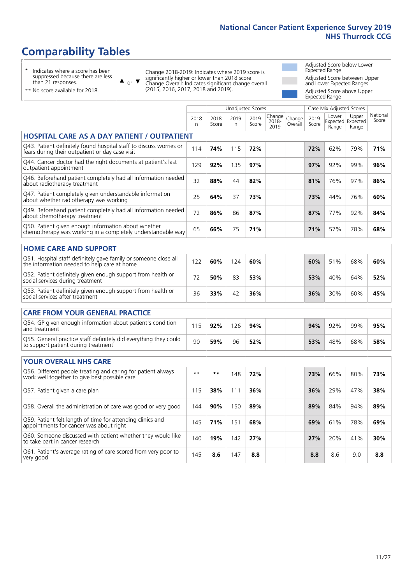# **Comparability Tables**

\* Indicates where a score has been suppressed because there are less than 21 responses.

\*\* No score available for 2018.

 $\triangle$  or  $\nabla$ 

Change 2018-2019: Indicates where 2019 score is significantly higher or lower than 2018 score Change Overall: Indicates significant change overall (2015, 2016, 2017, 2018 and 2019).

Adjusted Score below Lower Expected Range Adjusted Score between Upper and Lower Expected Ranges Adjusted Score above Upper Expected Range

|                                                                                                                       |           |               | <b>Unadjusted Scores</b> |               |                         |                   |               | Case Mix Adjusted Scores            |                |                   |
|-----------------------------------------------------------------------------------------------------------------------|-----------|---------------|--------------------------|---------------|-------------------------|-------------------|---------------|-------------------------------------|----------------|-------------------|
|                                                                                                                       | 2018<br>n | 2018<br>Score | 2019<br>$\mathsf{n}$     | 2019<br>Score | Change<br>2018-<br>2019 | Change<br>Overall | 2019<br>Score | Lower<br>Expected Expected<br>Range | Upper<br>Range | National<br>Score |
| <b>HOSPITAL CARE AS A DAY PATIENT / OUTPATIENT</b>                                                                    |           |               |                          |               |                         |                   |               |                                     |                |                   |
| Q43. Patient definitely found hospital staff to discuss worries or<br>fears during their outpatient or day case visit | 114       | 74%           | 115                      | 72%           |                         |                   | 72%           | 62%                                 | 79%            | 71%               |
| Q44. Cancer doctor had the right documents at patient's last<br>outpatient appointment                                | 129       | 92%           | 135                      | 97%           |                         |                   | 97%           | 92%                                 | 99%            | 96%               |
| Q46. Beforehand patient completely had all information needed<br>about radiotherapy treatment                         | 32        | 88%           | 44                       | 82%           |                         |                   | 81%           | 76%                                 | 97%            | 86%               |
| Q47. Patient completely given understandable information<br>about whether radiotherapy was working                    | 25        | 64%           | 37                       | 73%           |                         |                   | 73%           | 44%                                 | 76%            | 60%               |
| Q49. Beforehand patient completely had all information needed<br>about chemotherapy treatment                         | 72        | 86%           | 86                       | 87%           |                         |                   | 87%           | 77%                                 | 92%            | 84%               |
| Q50. Patient given enough information about whether<br>chemotherapy was working in a completely understandable way    | 65        | 66%           | 75                       | 71%           |                         |                   | 71%           | 57%                                 | 78%            | 68%               |
| <b>HOME CARE AND SUPPORT</b>                                                                                          |           |               |                          |               |                         |                   |               |                                     |                |                   |
| Q51. Hospital staff definitely gave family or someone close all<br>the information needed to help care at home        | 122       | 60%           | 124                      | 60%           |                         |                   | 60%           | 51%                                 | 68%            | 60%               |
| Q52. Patient definitely given enough support from health or<br>social services during treatment                       | 72        | 50%           | 83                       | 53%           |                         |                   | 53%           | 40%                                 | 64%            | 52%               |
| Q53. Patient definitely given enough support from health or<br>social services after treatment                        | 36        | 33%           | 42                       | 36%           |                         |                   | 36%           | 30%                                 | 60%            | 45%               |
| CARE FROM YOUR GENERAL PRACTICE                                                                                       |           |               |                          |               |                         |                   |               |                                     |                |                   |
| Q54. GP given enough information about patient's condition<br>and treatment                                           | 115       | 92%           | 126                      | 94%           |                         |                   | 94%           | 92%                                 | 99%            | 95%               |
| Q55. General practice staff definitely did everything they could<br>to support patient during treatment               | 90        | 59%           | 96                       | 52%           |                         |                   | 53%           | 48%                                 | 68%            | 58%               |
| <b>YOUR OVERALL NHS CARE</b>                                                                                          |           |               |                          |               |                         |                   |               |                                     |                |                   |
| Q56. Different people treating and caring for patient always                                                          | $***$     | $***$         | 148                      | 72%           |                         |                   |               |                                     | 80%            | 73%               |
| work well together to give best possible care                                                                         |           |               |                          |               |                         |                   | 73%           | 66%                                 |                |                   |
| Q57. Patient given a care plan                                                                                        | 115       | 38%           | 111                      | 36%           |                         |                   | 36%           | 29%                                 | 47%            | 38%               |
| Q58. Overall the administration of care was good or very good                                                         | 144       | 90%           | 150                      | 89%           |                         |                   | 89%           | 84%                                 | 94%            | 89%               |
| Q59. Patient felt length of time for attending clinics and<br>appointments for cancer was about right                 | 145       | 71%           | 151                      | 68%           |                         |                   | 69%           | 61%                                 | 78%            | 69%               |
| Q60. Someone discussed with patient whether they would like<br>to take part in cancer research                        | 140       | 19%           | 142                      | 27%           |                         |                   | 27%           | 20%                                 | 41%            | 30%               |
| Q61. Patient's average rating of care scored from very poor to<br>very good                                           | 145       | 8.6           | 147                      | 8.8           |                         |                   | 8.8           | 8.6                                 | 9.0            | 8.8               |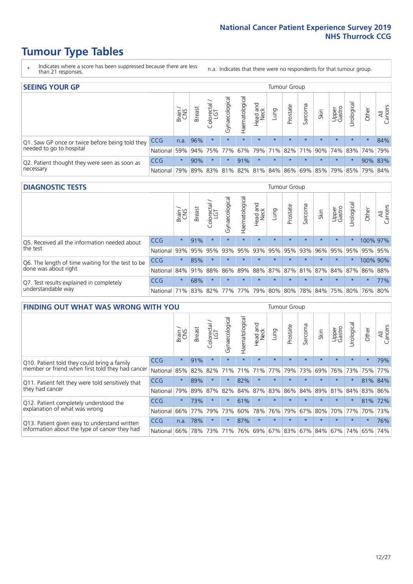# **Tumour Type Tables**

- \* Indicates where a score has been suppressed because there are less than 21 responses.
- n.a. Indicates that there were no respondents for that tumour group.

| <b>SEEING YOUR GP</b>                           |            |              |               |             |                    |                |                  |         | <b>Tumour Group</b> |         |         |                 |                                                 |         |                |
|-------------------------------------------------|------------|--------------|---------------|-------------|--------------------|----------------|------------------|---------|---------------------|---------|---------|-----------------|-------------------------------------------------|---------|----------------|
|                                                 |            | Brain<br>CNS | <b>Breast</b> | Colorectal  | ᠊ᢛ<br>Gynaecologic | Haematological | Head and<br>Neck | Lung    | Prostate            | Sarcoma | Skin    | Upper<br>Gastro | Urological                                      | Other   | All<br>Cancers |
| Q1. Saw GP once or twice before being told they | <b>CCG</b> | n.a.         | 96%           | $\star$     | $\star$            | $\star$        | $\star$          | $\star$ | $\star$             | $\star$ | $\star$ | $\star$         | $\star$                                         | $\star$ | 84%            |
| needed to go to hospital                        | National   | 59%          |               | 94% 75% 77% |                    |                | 67% 79% 71% 82%  |         |                     |         |         |                 | 71% 90% 74% 83% 74% 79%                         |         |                |
| Q2. Patient thought they were seen as soon as   | CCG        | $\star$      | 90%           | $\star$     | $\star$            | 91%            | $\star$          | $\star$ | $\star$             | $\star$ | $\star$ | $\star$         | $\star$                                         |         | 90% 83%        |
| necessary                                       | National   | 79%          |               |             |                    |                |                  |         |                     |         |         |                 | 89% 83% 81% 82% 81% 84% 86% 69% 85% 79% 85% 79% |         | 84%            |

#### **DIAGNOSTIC TESTS** Tumour Group

|                                                   |                                                                  | Brain   | <b>Breast</b> | olorectal.<br>LGT<br>Ü | Gynaecological | Haematological | Head and<br>Neck | Lung    | Prostate | Sarcoma | Skin    | Upper<br>Gastro | Irological                                  | Other    | All<br>Cancers |
|---------------------------------------------------|------------------------------------------------------------------|---------|---------------|------------------------|----------------|----------------|------------------|---------|----------|---------|---------|-----------------|---------------------------------------------|----------|----------------|
| Q5. Received all the information needed about     | <b>CCG</b>                                                       | $\star$ | 91%           | $\star$                | $\star$        | $\star$        | $\star$          | $\star$ | $\star$  | $\star$ | $\star$ | $\star$         | $\star$                                     | 100% 97% |                |
| the test                                          | National                                                         | 93%     | 95%           | 95%                    | 93%            | 95%            |                  | 93% 95% | 95%      | 93%     | 96%     | 95%             | 95%                                         | 95% 95%  |                |
| Q6. The length of time waiting for the test to be | <b>CCG</b>                                                       | $\star$ | 85%           |                        | $\star$        | $\star$        | $\star$          | $\star$ | $\star$  | $\star$ | $\star$ | $\star$         | $\star$                                     | 100% 90% |                |
| done was about right                              | National 84% 91%                                                 |         |               | 88%                    |                |                |                  |         |          |         |         |                 | 86% 89% 88% 87% 87% 81% 87% 84% 87% 86% 88% |          |                |
| Q7. Test results explained in completely          | <b>CCG</b>                                                       | $\star$ | 68%           |                        | $\star$        | $\star$        | $\star$          | $\star$ | $\star$  | $\star$ | $\star$ | $\star$         | $\star$                                     | $\star$  | 77%            |
| understandable way                                | National 71% 83% 82% 77% 77% 79% 80% 80% 78% 84% 75% 80% 76% 80% |         |               |                        |                |                |                  |         |          |         |         |                 |                                             |          |                |

| <b>FINDING OUT WHAT WAS WRONG WITH YOU</b>        |            |         |               |                 |                |                |                        |                 | <b>Tumour Group</b> |         |         |                 |           |         |                |
|---------------------------------------------------|------------|---------|---------------|-----------------|----------------|----------------|------------------------|-----------------|---------------------|---------|---------|-----------------|-----------|---------|----------------|
|                                                   |            | Brain   | <b>Breast</b> | ╮<br>Colorectal | Gynaecological | Haematological | ad and<br>Neck<br>Head | Lung            | Prostate            | Sarcoma | Skin    | Upper<br>Gastro | Jrologica | Other   | All<br>Cancers |
| Q10. Patient told they could bring a family       | <b>CCG</b> | $\star$ | 91%           | $\star$         | $\star$        | $\star$        | $\star$                | $\star$         | $\star$             | $\star$ | $\star$ | $\star$         | $\star$   | $\star$ | 79%            |
| member or friend when first told they had cancer  | National   | 85%     | 82%           | 82%             | 71%            | 71%            | 71%                    | 77%             | 79%                 | 73%     | 69%     | 76%             | 73%       | 75%     | 77%            |
| Q11. Patient felt they were told sensitively that | CCG        | $\star$ | 89%           | $\star$         | $\star$        | 82%            | $\star$                | $\star$         | $\star$             | $\star$ | $\star$ | $\star$         | $\star$   |         | 81% 84%        |
| they had cancer                                   | National   | 79%     | 89%           | 87%             | 82%            | 84%            | 87%                    | 83%             | 86%                 | 84%     | 89%     | 81%             | 84%       | 83% 86% |                |
| Q12. Patient completely understood the            | CCG        | $\star$ | 73%           |                 | $\star$        | 61%            | $\star$                | $\star$         | $\star$             |         | $\star$ | $\star$         | $\star$   | 81%     | 72%            |
| explanation of what was wrong                     | National   | 66%     | 77%           | 79%             | 73%            | 60%            | 78%                    | 76%             | 79%                 | 67%     | 80%     | 70%             | 77%       | 70%     | 73%            |
| Q13. Patient given easy to understand written     | <b>CCG</b> | n.a.    | 78%           | $\star$         | $\star$        | 87%            | $\star$                | $\star$         | $\star$             | $\star$ | $\star$ | $\star$         | $\star$   | $\ast$  | 76%            |
| information about the type of cancer they had     | National   | 66%     | 78%           | 73%             | 71%            | 76%            |                        | 69%   67%   83% |                     |         | 67% 84% | 67%             | 74%       | 65%     | 74%            |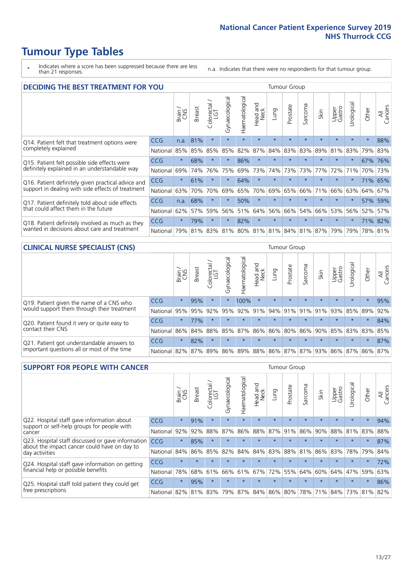# **Tumour Type Tables**

- \* Indicates where a score has been suppressed because there are less than 21 responses.
- n.a. Indicates that there were no respondents for that tumour group.

| <b>DECIDING THE BEST TREATMENT FOR YOU</b>         |            |         |               |                        |                |                |                         |         | <b>Tumour Group</b> |                                         |         |                 |            |         |                |
|----------------------------------------------------|------------|---------|---------------|------------------------|----------------|----------------|-------------------------|---------|---------------------|-----------------------------------------|---------|-----------------|------------|---------|----------------|
|                                                    |            | Brain   | <b>Breast</b> | olorectal.<br>LGT<br>Ū | Gynaecological | Haematological | ead and<br>Neck<br>Head | Lung    | Prostate            | arcoma<br>vĀ                            | Skin    | Upper<br>Gastro | Jrological | Other   | All<br>Cancers |
| Q14. Patient felt that treatment options were      | CCG        | n.a.    | 81%           | $\star$                | $\star$        | $\star$        | $\star$                 | $\star$ | $\star$             | $\star$                                 | $\star$ | $\star$         | $\star$    | $\star$ | 88%            |
| completely explained                               | National   | 85%     | 85%           | 85%                    | 85%            | 82%            | 87%                     | 84%     | 83%                 | 83%                                     | 89%     | 81%             | 83%        | 79%     | 83%            |
| Q15. Patient felt possible side effects were       | CCG        | $\star$ | 68%           |                        | $\star$        | 86%            | $\star$                 | $\star$ | $\star$             |                                         | $\star$ | $\star$         | $\star$    | 67%     | 76%            |
| definitely explained in an understandable way      | National   | 69%     | 74%           | 76%                    | 75%            | 69%            | 73%                     | 74%     | 73%                 | 73%                                     | 77%     | 72%             | 71%        |         | 70% 73%        |
| Q16. Patient definitely given practical advice and | CCG        | $\star$ | 61%           |                        | $\star$        | 64%            | $\star$                 | $\star$ | $\star$             |                                         | $\star$ | $\star$         | $^\star$   | 71%     | 65%            |
| support in dealing with side effects of treatment  | National   | 63%     | 70%           | 70%                    | 69%            | 65%            | 70%                     | 69%     | 65%                 | 66%                                     | 71%     | 66%             | 63%        | 64%     | 67%            |
| Q17. Patient definitely told about side effects    | CCG        | n.a.    | 68%           |                        | $\star$        | 50%            | $\star$                 | $\star$ | $\star$             |                                         |         | $\star$         | $\star$    | 57%     | 59%            |
| that could affect them in the future               | National   | 62%     | 57%           | 59%                    | 56%            | 51%            | 64%                     | 56%     | 66%                 | 54%                                     | 66%     | 53%             | 56%        | 52%     | 57%            |
| Q18. Patient definitely involved as much as they   | CCG        | $\star$ | 79%           | $\star$                | $\star$        | 82%            | $\star$                 | $\star$ | $\star$             | $\star$                                 | $\star$ | $\star$         | $\star$    |         | 71% 82%        |
| wanted in decisions about care and treatment       | National I | 79%     |               |                        |                |                |                         |         |                     | 81% 83% 81% 80% 81% 81% 84% 81% 87% 79% |         |                 | 79%        | 78% 81% |                |

#### **CLINICAL NURSE SPECIALIST (CNS)** Tumour Group

|                                             |                                                                  | Brain   | <b>Breast</b>   | Colorectal<br>LGT | Gynaecological | $\sigma$<br>aematologic<br>Ĩ | ead and<br>Neck<br>Head | Lung    | Prostate | Sarcoma | Skin    | Upper<br>Gastro     | σ<br>rologica | Other   | All<br>Cancers |
|---------------------------------------------|------------------------------------------------------------------|---------|-----------------|-------------------|----------------|------------------------------|-------------------------|---------|----------|---------|---------|---------------------|---------------|---------|----------------|
| Q19. Patient given the name of a CNS who    | CCG                                                              | $\star$ | 95%             |                   |                | 100%                         |                         | $\star$ | $\star$  | $\star$ | $\star$ | $\star$             | $\star$       | $\ast$  | 95%            |
| would support them through their treatment  | National                                                         |         | 95% 95% 92%     |                   | 95%            | 92%                          | 91%                     | 94% 91% |          |         |         | $ 91\% 91\% 93\% $  | 85% 89%       |         | 92%            |
| Q20. Patient found it very or quite easy to | CCG                                                              | $\star$ | 77%             |                   |                | $\star$                      | $\star$                 | $\star$ | $\star$  | $\star$ | $\star$ | $\star$             | $\star$       | $\star$ | 84%            |
| contact their CNS                           | National                                                         |         | 86% 84% 88% 85% |                   |                |                              | 87% 86% 86% 80%         |         |          |         |         | 86% 90% 85% 83% 83% |               |         | 85%            |
| Q21. Patient got understandable answers to  | CCG                                                              | $\star$ | 82%             |                   | $\star$        | $\star$                      | $\star$                 | $\star$ | $\star$  | $\star$ | $\star$ | $\star$             | $\star$       | $\star$ | 87%            |
| important questions all or most of the time | National 82% 87% 89% 86% 89% 88% 86% 87% 87% 93% 86% 87% 86% 87% |         |                 |                   |                |                              |                         |         |          |         |         |                     |               |         |                |

| <b>SUPPORT FOR PEOPLE WITH CANCER</b>                                                             |            |         |               |                             |                |                |                         |             | Tumour Group |              |         |                 |            |         |                |
|---------------------------------------------------------------------------------------------------|------------|---------|---------------|-----------------------------|----------------|----------------|-------------------------|-------------|--------------|--------------|---------|-----------------|------------|---------|----------------|
|                                                                                                   |            | Brain   | <b>Breast</b> | blorectal.<br>LGT<br>$\cup$ | Gynaecological | Haematological | ead and<br>Neck<br>Head | <b>Dung</b> | Prostate     | arcoma<br>ιñ | Skin    | Upper<br>Gastro | Urological | Other   | All<br>Cancers |
| Q22. Hospital staff gave information about<br>support or self-help groups for people with         | CCG        | $\star$ | 91%           | $\star$                     | $\star$        | $\star$        | $\star$                 | $\star$     | $\star$      | $\star$      | $\star$ | $\star$         | $\star$    | $\star$ | 94%            |
| cancer                                                                                            | National   | 92%     | 92%           | 88%                         | 87%            | 86%            | 88%                     | 87%         | 91%          | 86%          | 90%     | 88%             | 81%        | 83%     | 88%            |
| Q23. Hospital staff discussed or gave information<br>about the impact cancer could have on day to | CCG        | $\star$ | 85%           | $\star$                     | $\star$        | $\star$        | $\star$                 | $\star$     | $\star$      | 大            | $\star$ | $\star$         | $\star$    | $\star$ | 87%            |
| day activities                                                                                    | National   | 84%     | 86%           | 85%                         | 82%            | 84%            | 84%                     | 83%         | 88%          | 81%          | 86%     | 83%             | 78%        | 79%     | 84%            |
| Q24. Hospital staff gave information on getting                                                   | <b>CCG</b> | $\star$ |               | $\star$                     | $\star$        | $\star$        | $\star$                 | $\star$     | $\star$      | 大            | $\star$ | $\star$         | $\star$    | $\star$ | 72%            |
| financial help or possible benefits                                                               | National   | 78%     | 68%           | 61%                         | 66%            | 61%            | 67%                     | 72%         | 55%          | 64%          | 60%     | 64%             | 47%        | 59%     | 63%            |
| Q25. Hospital staff told patient they could get                                                   | CCG        | $\star$ | 95%           | $\star$                     | $\star$        |                | $\star$                 | $\star$     | $\star$      | 大            |         | $\star$         | $\star$    | $\star$ | 86%            |
| free prescriptions                                                                                | National   | 82%     | 81%           | 83%                         | 79%            | 87%            | 84%                     | 86%         | 80%          | 78%          | 71%     | 84%             | 73%        | 81%     | 82%            |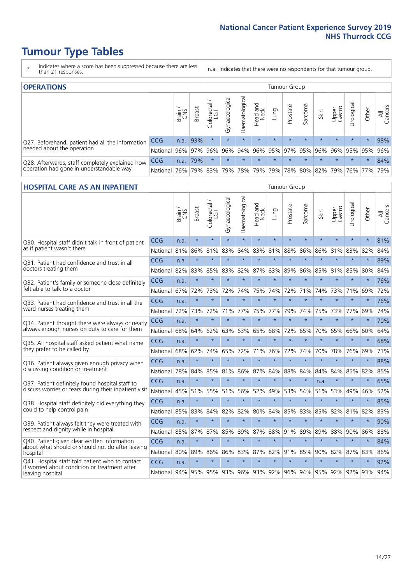# **Tumour Type Tables**

- \* Indicates where a score has been suppressed because there are less than 21 responses.
- n.a. Indicates that there were no respondents for that tumour group.

| <b>OPERATIONS</b>                                |              |       |               |            |                |                               |                  |         | Tumour Group            |         |         |                 |                                  |         |                |
|--------------------------------------------------|--------------|-------|---------------|------------|----------------|-------------------------------|------------------|---------|-------------------------|---------|---------|-----------------|----------------------------------|---------|----------------|
|                                                  |              | Brain | <b>Breast</b> | Colorectal | Gynaecological | $\overline{3}$<br>Haematologi | Head and<br>Neck | Lung    | Prostate                | Sarcoma | Skin    | Upper<br>Gastro | $\overline{\sigma}$<br>Jrologica | Other   | All<br>Cancers |
| Q27. Beforehand, patient had all the information | <b>CCG</b>   | n.a.  | 93%           |            | $\star$        | $\star$                       | $\star$          | $\star$ | $\star$                 | $\star$ | $\star$ | $\star$         | $\star$                          | $\star$ | 98%            |
| needed about the operation                       | National 96% |       |               | 97% 96%    | 96%            |                               |                  |         | 94% 96% 95% 97% 95% 96% |         |         |                 | 96%   95%   95%   96%            |         |                |
| Q28. Afterwards, staff completely explained how  | <b>CCG</b>   | n.a.  | 79%           |            | $\star$        | $\star$                       | $\star$          | $\star$ | $\star$                 | $\star$ | $\star$ | $\star$         | $\star$                          | $\star$ | 84%            |
| operation had gone in understandable way         | National     | 76%   |               | 79% 83%    |                | 79%   78%   79%               |                  |         |                         |         |         |                 | 79% 78% 80% 82% 79% 76% 77%      |         | 79%            |

#### **HOSPITAL CARE AS AN INPATIENT** Tumour Group

|                                                                                                  |            | Brain | <b>Breast</b> | Colorectal /<br>LGT | Gynaecological | Haematological | Head and<br>Neck | Lung    | Prostate | Sarcoma | Skin    | Upper<br>Gastro | Urological | Other   | Cancers<br>$\overline{\overline{z}}$ |
|--------------------------------------------------------------------------------------------------|------------|-------|---------------|---------------------|----------------|----------------|------------------|---------|----------|---------|---------|-----------------|------------|---------|--------------------------------------|
| Q30. Hospital staff didn't talk in front of patient                                              | CCG        | n.a.  | $\star$       | $\star$             | $\star$        | $\star$        | $\star$          | $\star$ | $\star$  | $\star$ | $\star$ | $\star$         | $\star$    | $\star$ | 81%                                  |
| as if patient wasn't there                                                                       | National   | 81%   | 86%           | 81%                 | 83%            | 84%            | 83%              | 81%     | 88%      | 86%     | 86%     | 81%             | 83%        | 82%     | 84%                                  |
| 031. Patient had confidence and trust in all                                                     | CCG        | n.a.  | $\star$       | $\star$             | $\star$        | $\star$        | $\star$          | $\star$ | $\star$  | $\star$ | $\star$ | $\star$         | $\star$    | $\star$ | 89%                                  |
| doctors treating them                                                                            | National   | 82%   | 83%           | 85%                 | 83%            | 82%            |                  | 87% 83% | 89%      | 86%     | 85%     | 81%             | 85%        | 80%     | 84%                                  |
| Q32. Patient's family or someone close definitely                                                | CCG        | n.a.  | $\star$       | $\star$             | $\star$        | $\star$        | $\star$          | $\star$ | $\star$  | $\star$ | $\star$ | $\star$         | $\star$    | $\star$ | 76%                                  |
| felt able to talk to a doctor                                                                    | National   | 67%   | 72%           | 73%                 | 72%            | 74%            | 75%              | 74%     | 72%      | 71%     | 74%     | 73%             | 71%        | 69%     | 72%                                  |
| Q33. Patient had confidence and trust in all the                                                 | CCG        | n.a.  | $\star$       | $\star$             | $\star$        | $\star$        | $\star$          | $\star$ | $\star$  | $\star$ | $\star$ | $\star$         | $\star$    | $\star$ | 76%                                  |
| ward nurses treating them                                                                        | National   | 72%   | 73%           | 72%                 |                | 71% 77%        |                  | 75% 77% | 79%      | 74%     | 75%     | 73%             | 77%        | 69%     | 74%                                  |
| Q34. Patient thought there were always or nearly                                                 | CCG        | n.a.  | $\star$       | $\star$             | $\star$        | $\star$        | $\star$          | $\star$ | $\star$  | $\star$ | $\star$ | $\star$         | $\star$    | $\star$ | 70%                                  |
| always enough nurses on duty to care for them                                                    | National   | 68%   | 64%           | 62%                 | 63%            | 63%            | 65%              | 68%     | 72%      | 65%     | 70%     | 65%             | 66%        | 60%     | 64%                                  |
| Q35. All hospital staff asked patient what name                                                  | CCG        | n.a.  | $\star$       | $\star$             | $\star$        | $\star$        | $\star$          | $\star$ | $\star$  | $\star$ | $\star$ | $\star$         | $\star$    | $\star$ | 68%                                  |
| they prefer to be called by                                                                      | National   | 68%   | 62%           | 74%                 | 65%            | 72%            | 71%              | 76%     | 72%      | 74%     | 70%     | 78%             | 76%        | 69%     | 71%                                  |
| Q36. Patient always given enough privacy when                                                    | CCG        | n.a.  | $\star$       | $\star$             | $\star$        | $\star$        | $\star$          | $\star$ | $\star$  | $\star$ | $\star$ | $\star$         | $\star$    | $\star$ | 88%                                  |
| discussing condition or treatment                                                                | National   | 78%   | 84%           | 85%                 | 81%            | 86%            |                  | 87% 84% | 88%      | 84%     | 84%     | 84%             | 85%        | 82%     | 85%                                  |
| Q37. Patient definitely found hospital staff to                                                  | <b>CCG</b> | n.a.  | $\star$       | $\star$             | $\star$        | $\star$        | $\star$          | $\star$ | $\star$  | $\star$ | n.a.    |                 | $\star$    | $\star$ | 65%                                  |
| discuss worries or fears during their inpatient visit                                            | National   | 45%   | 51%           | 55%                 | 51%            | 56%            | 52%              | 49%     | 53%      | 54%     | 51%     | 53%             | 49%        | 46%     | 52%                                  |
| Q38. Hospital staff definitely did everything they                                               | CCG        | n.a.  | $\star$       | $\star$             | $\star$        | $\star$        | $\star$          | $\star$ | $\star$  | $\star$ | $\star$ | $\star$         | $\star$    | $\star$ | 85%                                  |
| could to help control pain                                                                       | National   | 85%   | 83%           | 84%                 | 82%            | 82%            | 80%              | 84%     | 85%      | 83%     | 85%     | 82%             | 81%        | 82%     | 83%                                  |
| Q39. Patient always felt they were treated with                                                  | CCG        | n.a.  | $\star$       | $\star$             | $\star$        | $\star$        | $\star$          | $\star$ | $\star$  | $\star$ | $\star$ | $\star$         | $\star$    | $\star$ | 90%                                  |
| respect and dignity while in hospital                                                            | National   | 85%   | 87%           | 87%                 | 85%            | 89%            |                  | 87% 88% | 91%      | 89%     | 89%     | 88%             | 90%        | 86%     | 88%                                  |
| Q40. Patient given clear written information<br>about what should or should not do after leaving | CCG        | n.a.  | $\star$       | $\star$             | $\star$        | $\star$        | $\star$          | $\star$ | $\star$  | $\star$ | $\star$ | $\star$         | $\star$    | $\star$ | 84%                                  |
| hospital                                                                                         | National   | 80%   | 89%           | 86%                 | 86%            | 83%            | 87%              | 82%     | 91%      | 85%     | 90%     | 82%             | 87%        | 83%     | 86%                                  |
| Q41. Hospital staff told patient who to contact<br>if worried about condition or treatment after | CCG        | n.a.  | $\star$       | $\star$             | $\star$        | $\star$        | $\star$          | $\star$ | $\star$  | $\star$ | $\star$ | $\star$         | $\star$    | $\star$ | 92%                                  |
| leaving hospital                                                                                 | National   | 94%   | 95%           | 95% 93% 96%         |                |                |                  | 93% 92% | 96%      | 94%     | 95% 92% |                 | 92%        | 93%     | 94%                                  |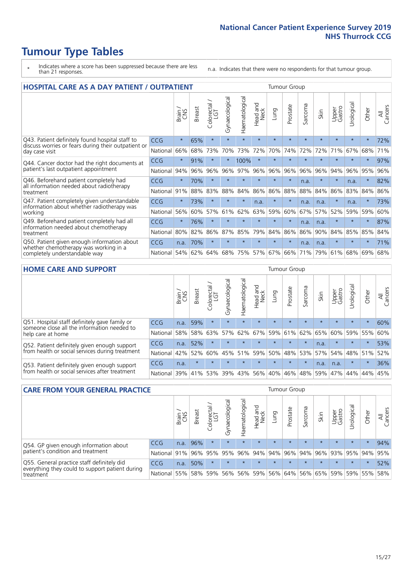# **Tumour Type Tables**

- \* Indicates where a score has been suppressed because there are less than 21 responses.
- n.a. Indicates that there were no respondents for that tumour group.

| <b>HOSPITAL CARE AS A DAY PATIENT / OUTPATIENT</b><br><b>Tumour Group</b>                                                |            |         |               |                                 |                |                |                                |         |          |              |         |                 |            |         |                |
|--------------------------------------------------------------------------------------------------------------------------|------------|---------|---------------|---------------------------------|----------------|----------------|--------------------------------|---------|----------|--------------|---------|-----------------|------------|---------|----------------|
|                                                                                                                          |            | Brain   | <b>Breast</b> | ╮<br>olorectal<br>LGT<br>$\cup$ | Gynaecological | Haematological | <b>Bad and</b><br>Neck<br>Head | Lung    | Prostate | arcoma<br>vĀ | Skin    | Upper<br>Gastro | Urological | Other   | All<br>Cancers |
| Q43. Patient definitely found hospital staff to<br>discuss worries or fears during their outpatient or<br>day case visit | CCG        | $\star$ | 65%           | $\star$                         | $\star$        | $\star$        | $\star$                        | $\star$ | $\star$  | $\star$      | $\star$ | $\star$         | $\star$    | $\star$ | 72%            |
|                                                                                                                          | National   | 66%     | 68%           | 73%                             | 70%            | 73%            | 72%                            | 70%     | 74%      | 72%          | 72%     | 71%             | 67%        | 68%     | 71%            |
| Q44. Cancer doctor had the right documents at<br>patient's last outpatient appointment                                   | CCG        | $\star$ | 91%           |                                 |                | 100%           | $\star$                        | $\star$ | $\star$  | $\star$      |         | $\star$         | $\star$    | $\star$ | 97%            |
|                                                                                                                          | National   | 94%     | 96%           | 96%                             | 96%            | 97%            | 96%                            | 96%     | 96%      | 96%          | 96%     | 94%             | 96%        | 95%     | 96%            |
| Q46. Beforehand patient completely had                                                                                   | CCG        | $\star$ | 70%           | $\star$                         | $\star$        | $\star$        | $\star$                        | $\star$ | $\star$  | n.a.         |         | $\star$         | n.a.       | $\star$ | 82%            |
| all information needed about radiotherapy<br>treatment                                                                   | National   | 91%     | 88%           | 83%                             | 88%            | 84%            | 86%                            | 86%     | 88%      | 88%          | 84%     | 86%             | 83%        | 84%     | 86%            |
| Q47. Patient completely given understandable<br>information about whether radiotherapy was<br>working                    | CCG        | $\star$ | 73%           | $\star$                         | $\star$        | $\star$        | n.a.                           | $\star$ | $\star$  | n.a.         | n.a.    | $\star$         | n.a.       | $\star$ | 73%            |
|                                                                                                                          | National   | 56%     | 60%           | 57%                             | 61%            | 62%            | 63%                            | 59%     | 60%      | 67%          | 57%     | 52%             | 59%        | 59%     | 60%            |
| Q49. Beforehand patient completely had all                                                                               | CCG        | $\star$ | 76%           | $\star$                         |                |                | $\star$                        | $\star$ | $\star$  | n.a.         | n.a.    | $^\star$        | $\star$    | $\ast$  | 87%            |
| information needed about chemotherapy<br>treatment                                                                       | National   | 80%     | 82%           | 86%                             | 87%            | 85%            | 79%                            | 84%     | 86%      | 86%          | 90%     | 84%             | 85%        | 85%     | 84%            |
| Q50. Patient given enough information about<br>whether chemotherapy was working in a<br>completely understandable way    | <b>CCG</b> | n.a.    | 70%           | $\star$                         | $\star$        | $\star$        | $\star$                        | $\star$ | $\star$  | n.a.         | n.a.    | $\star$         | $\star$    | $\star$ | 71%            |
|                                                                                                                          | National   | 54%     | 62%           | 64%                             | 68%            | 75%            |                                | 57% 67% | 66%      | 71%          | 79%     | 61%             | 68%        | 69%     | 68%            |

#### **HOME CARE AND SUPPORT** Tumour Group

|                                                                                                                   |            | Brain | Breast  | Colorectal<br>LGT | ᢛ<br>Gynaecologic | Haematological | Head and<br>Neck | <b>Dung</b>     | Prostate | Sarcoma | Skin    | Upper<br>Gastro | rologica | Other   | All<br>Cancers |
|-------------------------------------------------------------------------------------------------------------------|------------|-------|---------|-------------------|-------------------|----------------|------------------|-----------------|----------|---------|---------|-----------------|----------|---------|----------------|
| Q51. Hospital staff definitely gave family or<br>someone close all the information needed to<br>help care at home | <b>CCG</b> | n.a.  | 59%     |                   | $\star$           | $\star$        | $\star$          | $\star$         | $\star$  | $\star$ | $\star$ | $\star$         | $\star$  | $\star$ | 60%            |
|                                                                                                                   | National   | 58%   |         | 58% 63%           | 57%               |                |                  | 62% 67% 59% 61% |          | 62%     | 65%     | 60%             | 59% 55%  |         | 60%            |
| Q52. Patient definitely given enough support<br>from health or social services during treatment                   | <b>CCG</b> | n.a.  | 52%     |                   | $\star$           |                | $\star$          | $\star$         | $\star$  | $\star$ | n.a.    | $\star$         | $\star$  | $\star$ | 53%            |
|                                                                                                                   | National   | 42%   | 52%     | 60%               |                   | 45% 51%        | 59%              | 50%             | 48%      | 53%     | 57%     | 54%             | 48% 51%  |         | 52%            |
| Q53. Patient definitely given enough support<br>from health or social services after treatment                    | <b>CCG</b> | n.a.  | $\star$ | $\star$           | $\star$           | $\star$        | $\star$          | $\star$         | $\star$  | $\star$ | n.a.    | n.a.            | $\star$  | $\star$ | 36%            |
|                                                                                                                   | National   | 39%   | 41% 53% |                   | 39%               | $ 43\% $       | 56%              | 40%             | 46%      | 48%     | 59%     | 47%             | 44%      | 44%     | 45%            |

| <b>CARE FROM YOUR GENERAL PRACTICE</b>                                                                     |              |       |               |                   |                |                |                  |         | Tumour Group                        |         |         |                 |            |         |                |  |  |  |  |  |
|------------------------------------------------------------------------------------------------------------|--------------|-------|---------------|-------------------|----------------|----------------|------------------|---------|-------------------------------------|---------|---------|-----------------|------------|---------|----------------|--|--|--|--|--|
|                                                                                                            |              | Brain | <b>Breast</b> | Colorectal<br>LGT | Gynaecological | Haematological | Head and<br>Neck | Lung    | Prostate                            | Sarcoma | Skin    | Upper<br>Gastro | Urological | Other   | All<br>Cancers |  |  |  |  |  |
| Q54. GP given enough information about<br>patient's condition and treatment                                | <b>CCG</b>   | n.a.  | 96%           | $\star$           | $\star$        | $\star$        | $\star$          | $\star$ | $\star$                             | $\star$ | $\star$ | $\star$         | $\star$    | $\star$ | 94%            |  |  |  |  |  |
|                                                                                                            | National 91% |       |               | 96% 95%           | 95%            |                |                  |         | 96% 94% 94% 96% 94% 96% 93% 95% 94% |         |         |                 |            |         | 95%            |  |  |  |  |  |
| Q55. General practice staff definitely did<br>everything they could to support patient during<br>treatment | CCG          | n.a.  | 50%           | $\star$           | $\star$        | $\star$        | $\star$          | $\star$ | $\star$                             | $\star$ | $\star$ | $\star$         | $\star$    | $\star$ | 52%            |  |  |  |  |  |
|                                                                                                            | National     | 55%   |               | 58% 59%           | 56%            |                | 56% 59%          |         | 56% 64%                             |         | 56% 65% | 59%             |            | 59% 55% | 58%            |  |  |  |  |  |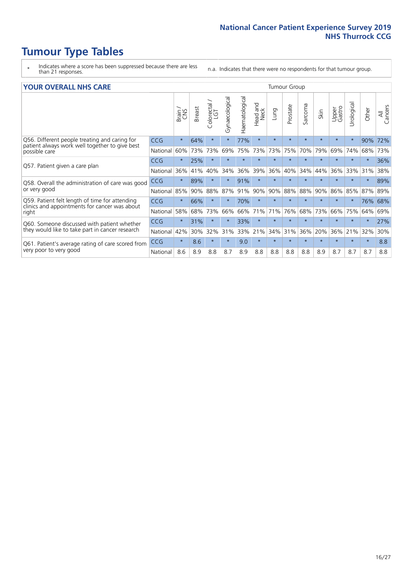# **Tumour Type Tables**

- \* Indicates where a score has been suppressed because there are less than 21 responses.
- n.a. Indicates that there were no respondents for that tumour group.

#### **YOUR OVERALL NHS CARE** THE CONSTRUCTION OF THE THROUP GROUP TUMOUR GROUP

| I YUN YENAEL NI IYOANE |         |               |                                  |                |                |                         |         | iamoar oroap |         |         |                 |               |         |                |  |  |  |  |  |  |
|------------------------|---------|---------------|----------------------------------|----------------|----------------|-------------------------|---------|--------------|---------|---------|-----------------|---------------|---------|----------------|--|--|--|--|--|--|
|                        | Brain   | <b>Breast</b> | ╮<br>olorectal.<br>LGT<br>$\cup$ | Gynaecological | Haematological | aad and<br>Neck<br>Head | Lung    | Prostate     | Sarcoma | Skin    | Upper<br>Gastro | ී<br>Urologic | Other   | All<br>Cancers |  |  |  |  |  |  |
| <b>CCG</b>             | $\star$ | 64%           | $\star$                          | $\star$        | 77%            | $\star$                 | $\star$ | $\star$      | $\star$ | $\star$ | $\star$         | $\star$       | 90%     | 72%            |  |  |  |  |  |  |
| National               | 60%     | 73%           | 73%                              | 69%            | 75%            | 73%                     | 73%     | 75%          | 70%     | 79%     | 69%             | 74%           | 68%     | 73%            |  |  |  |  |  |  |
| <b>CCG</b>             | $\star$ | 25%           | $\star$                          | $\star$        |                | $\star$                 | $\star$ | $\star$      | $\star$ | $\star$ | $\star$         |               | $\star$ | 36%            |  |  |  |  |  |  |
| National               | 36%     | 41%           | 40%                              | 34%            | 36%            | 39%                     | 36%     | 40%          | 34%     | 44%     | 36%             | 33%           | 31%     | 38%            |  |  |  |  |  |  |
| <b>CCG</b>             | $\star$ | 89%           | $\star$                          |                | 91%            | $\star$                 | $\star$ | $\star$      | $\star$ | $\star$ |                 |               | $\star$ | 89%            |  |  |  |  |  |  |
| National               | 85%     | 90%           | 88%                              | 87%            | 91%            | 90%                     | 90%     | 88%          | 88%     | 90%     | 86%             | 85%           | 87%     | 89%            |  |  |  |  |  |  |
| <b>CCG</b>             | $\star$ | 66%           | $\star$                          | $\star$        | 70%            | $\star$                 | $\star$ | $\star$      | $\star$ | $\star$ | $\star$         | $\star$       | 76%     | 68%            |  |  |  |  |  |  |
| National               | 58%     | 68%           | 73%                              | 66%            | 66%            | 71%                     | 71%     | 76%          | 68%     | 73%     | 66%             | 75%           | 64%     | 69%            |  |  |  |  |  |  |
| <b>CCG</b>             | $\star$ | 31%           | $\star$                          |                | 33%            | $\star$                 | $\star$ | $\star$      | $\star$ | $\star$ |                 |               | $\star$ | 27%            |  |  |  |  |  |  |
| National               | 42%     | 30%           | 32%                              | 31%            | 33%            |                         | 34%     | 31%          | 36%     | 20%     | 36%             | 21%           | 32%     | 30%            |  |  |  |  |  |  |
| <b>CCG</b>             | $\star$ | 8.6           | $\star$                          | $\star$        | 9.0            | $\star$                 | $\star$ | $\star$      | $\star$ | $\star$ | $\star$         | $\star$       | $\ast$  | 8.8            |  |  |  |  |  |  |
| National               | 8.6     | 8.9           | 8.8                              | 8.7            | 8.9            | 8.8                     | 8.8     | 8.8          | 8.8     | 8.9     | 8.7             | 8.7           | 8.7     | 8.8            |  |  |  |  |  |  |
|                        |         |               |                                  |                |                |                         | 21%     |              |         |         |                 |               |         |                |  |  |  |  |  |  |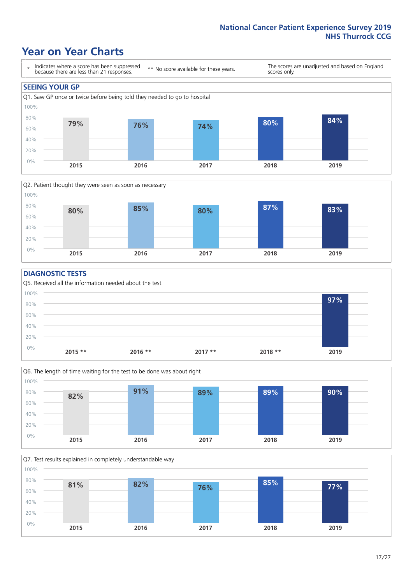### **Year on Year Charts**





#### **DIAGNOSTIC TESTS**





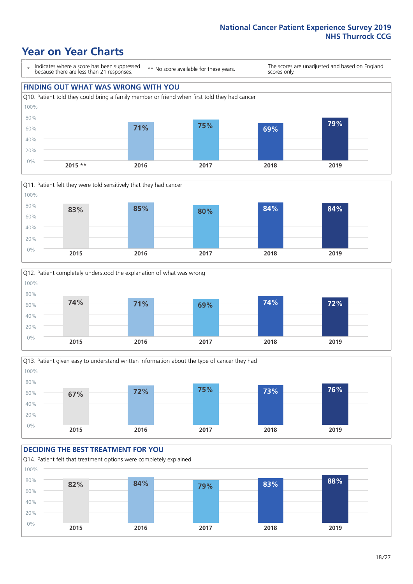## **Year on Year Charts**

\* Indicates where a score has been suppressed because there are less than 21 responses.

\*\* No score available for these years.

The scores are unadjusted and based on England scores only.









#### **DECIDING THE BEST TREATMENT FOR YOU**

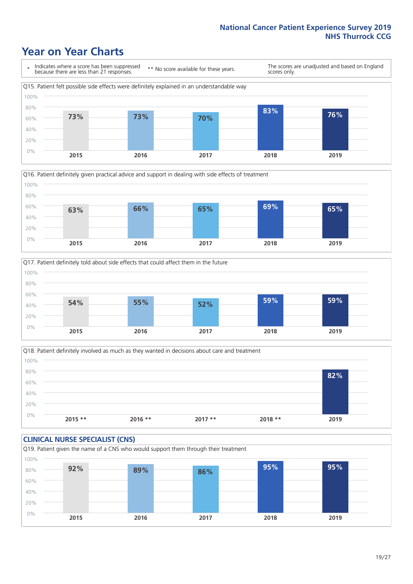## **Year on Year Charts**







Q18. Patient definitely involved as much as they wanted in decisions about care and treatment  $0%$ 20% 40% 60% 80% 100% **2015 \*\* 2016 \*\* 2017 \*\* 2018 \*\* 2019 82%**

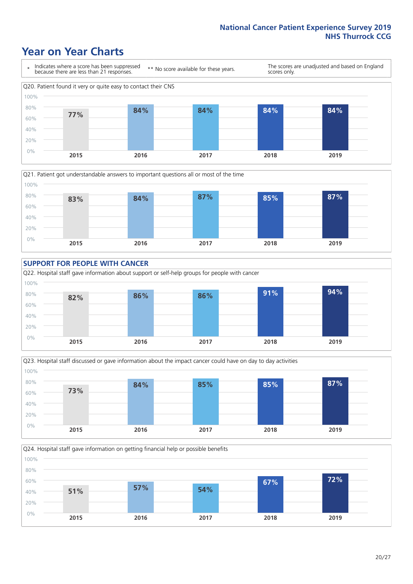### **Year on Year Charts**









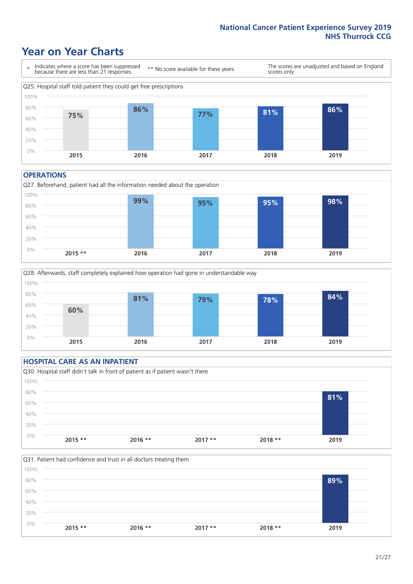### **Year on Year Charts**



#### **OPERATIONS**





#### **HOSPITAL CARE AS AN INPATIENT** Q30. Hospital staff didn't talk in front of patient as if patient wasn't there 0% 20% 40% 60% 80% 100% **2015 \*\* 2016 \*\* 2017 \*\* 2018 \*\* 2019 81%**

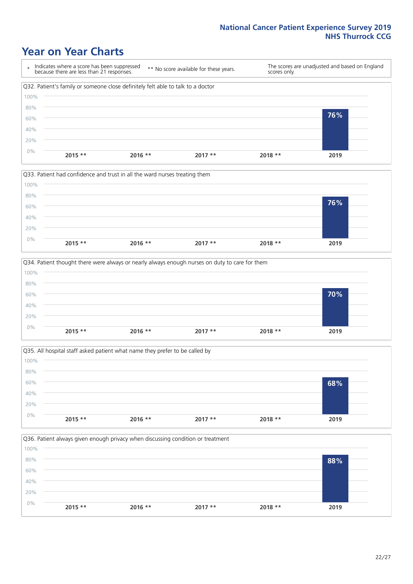### **Year on Year Charts**







Q35. All hospital staff asked patient what name they prefer to be called by  $0%$ 20% 40% 60% 80% 100% **2015 \*\* 2016 \*\* 2017 \*\* 2018 \*\* 2019 68%**

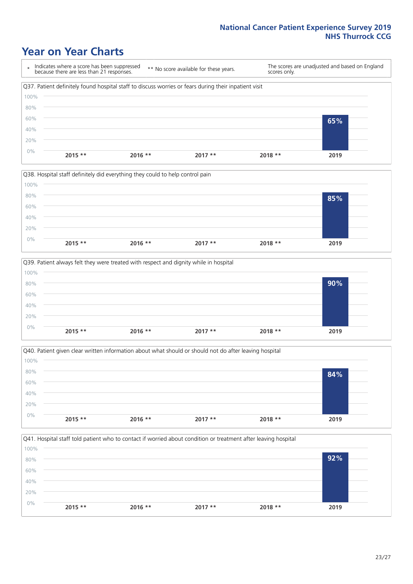### **Year on Year Charts**

\* Indicates where a score has been suppressed because there are less than 21 responses. \*\* No score available for these years. The scores are unadjusted and based on England scores only. Q37. Patient definitely found hospital staff to discuss worries or fears during their inpatient visit 0% 20% 40% 60% 80% 100% **2015 \*\* 2016 \*\* 2017 \*\* 2018 \*\* 2019 65%**







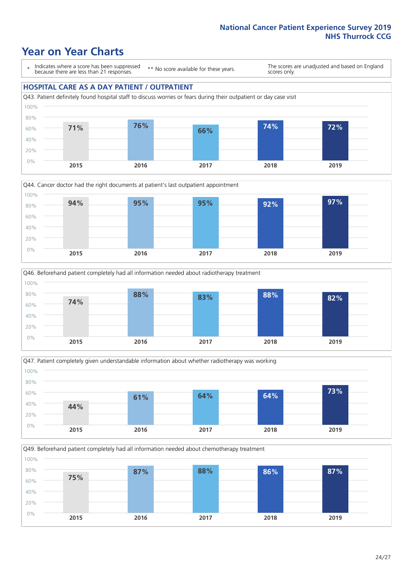### **Year on Year Charts**

\* Indicates where a score has been suppressed because there are less than 21 responses.

\*\* No score available for these years.

The scores are unadjusted and based on England scores only.

#### **HOSPITAL CARE AS A DAY PATIENT / OUTPATIENT**









Q49. Beforehand patient completely had all information needed about chemotherapy treatment 0% 20% 40% 60% 80% 100% **2015 2016 2017 2018 2019 75% 87% 88% 86% 87%**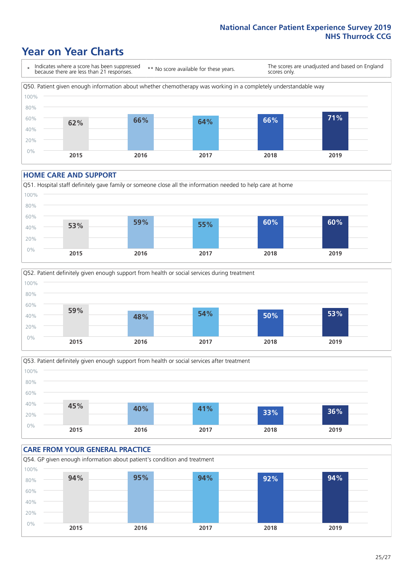### **Year on Year Charts**

\* Indicates where a score has been suppressed because there are less than 21 responses.

\*\* No score available for these years. scores only.

The scores are unadjusted and based on England



#### **HOME CARE AND SUPPORT**







#### **CARE FROM YOUR GENERAL PRACTICE** Q54. GP given enough information about patient's condition and treatment 0% 20% 40% 60% 80% 100% **2015 2016 2017 2018 2019 94% 95% 94% 92% 94%**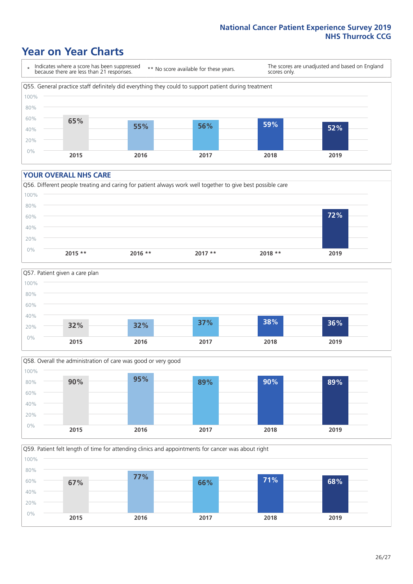### **Year on Year Charts**

\* Indicates where a score has been suppressed because there are less than 21 responses.

\*\* No score available for these years.

The scores are unadjusted and based on England scores only.



#### **YOUR OVERALL NHS CARE**







Q59. Patient felt length of time for attending clinics and appointments for cancer was about right 100%